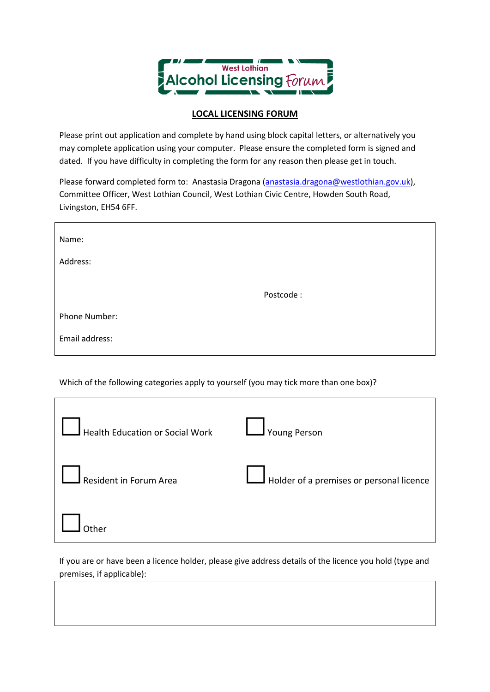

## **LOCAL LICENSING FORUM**

Please print out application and complete by hand using block capital letters, or alternatively you may complete application using your computer. Please ensure the completed form is signed and dated. If you have difficulty in completing the form for any reason then please get in touch.

Please forward completed form to: Anastasia Dragona [\(anastasia.dragona@westlothian.gov.uk\)](mailto:anastasia.dragona@westlothian.gov.uk), Committee Officer, West Lothian Council, West Lothian Civic Centre, Howden South Road, Livingston, EH54 6FF.

| Name:          |           |
|----------------|-----------|
| Address:       |           |
|                | Postcode: |
| Phone Number:  |           |
| Email address: |           |

Which of the following categories apply to yourself (you may tick more than one box)?

| $\Box$ Health Education or Social Work $\Box$ Young Person |                                                 |
|------------------------------------------------------------|-------------------------------------------------|
| $\Box$ Resident in Forum Area                              | $\Box$ Holder of a premises or personal licence |
|                                                            |                                                 |

If you are or have been a licence holder, please give address details of the licence you hold (type and premises, if applicable):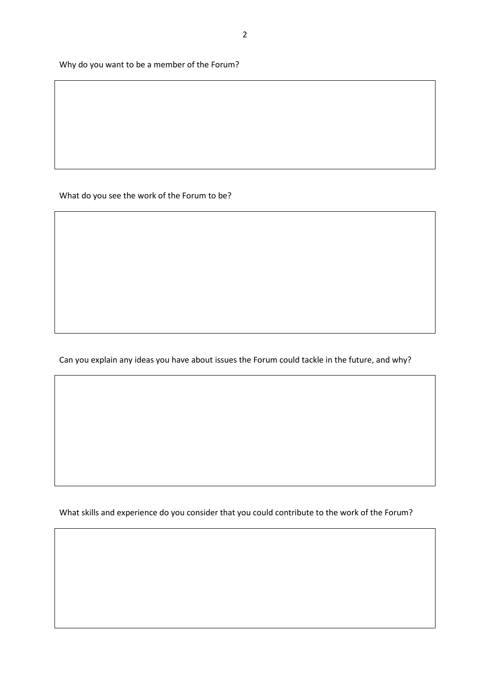Why do you want to be a member of the Forum?

What do you see the work of the Forum to be?

Can you explain any ideas you have about issues the Forum could tackle in the future, and why?

What skills and experience do you consider that you could contribute to the work of the Forum?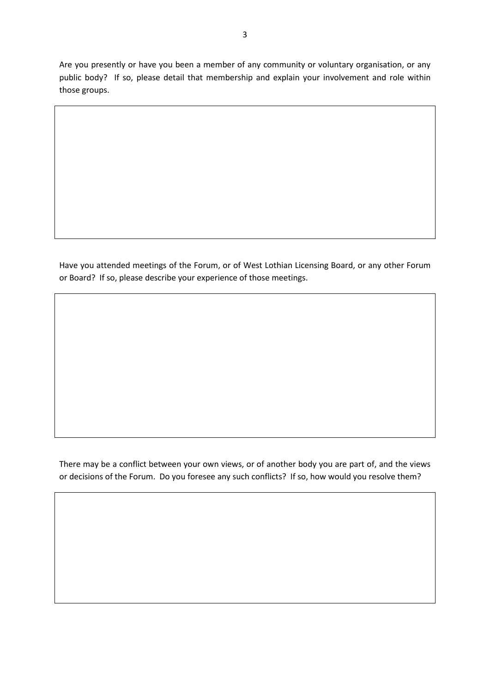Are you presently or have you been a member of any community or voluntary organisation, or any public body? If so, please detail that membership and explain your involvement and role within those groups.

Have you attended meetings of the Forum, or of West Lothian Licensing Board, or any other Forum or Board? If so, please describe your experience of those meetings.

There may be a conflict between your own views, or of another body you are part of, and the views or decisions of the Forum. Do you foresee any such conflicts? If so, how would you resolve them?